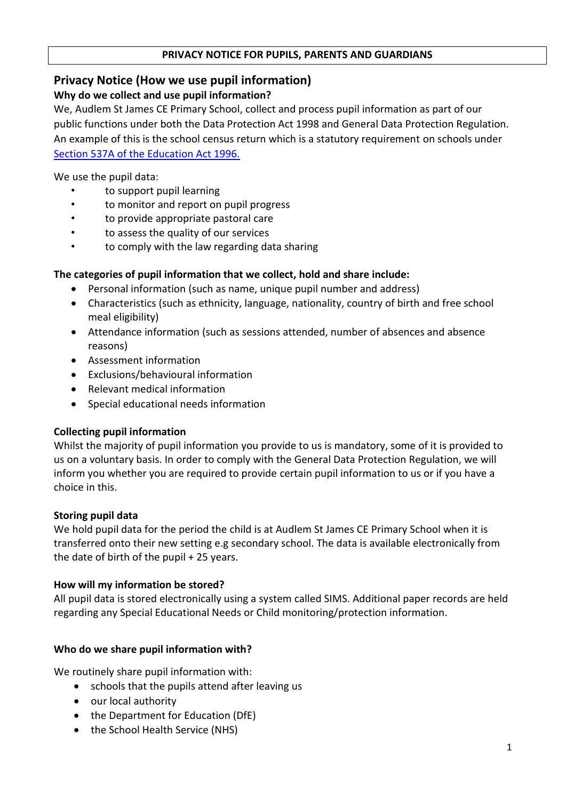#### **PRIVACY NOTICE FOR PUPILS, PARENTS AND GUARDIANS**

# **Privacy Notice (How we use pupil information)**

## **Why do we collect and use pupil information?**

We, Audlem St James CE Primary School, collect and process pupil information as part of our public functions under both the Data Protection Act 1998 and General Data Protection Regulation. An example of this is the school census return which is a statutory requirement on schools under [Section 537A of the Education Act 1996.](http://www.legislation.gov.uk/ukpga/1996/56/section/537A)

We use the pupil data:

- to support pupil learning
- to monitor and report on pupil progress
- to provide appropriate pastoral care
- to assess the quality of our services
- to comply with the law regarding data sharing

## **The categories of pupil information that we collect, hold and share include:**

- Personal information (such as name, unique pupil number and address)
- Characteristics (such as ethnicity, language, nationality, country of birth and free school meal eligibility)
- Attendance information (such as sessions attended, number of absences and absence reasons)
- Assessment information
- Exclusions/behavioural information
- Relevant medical information
- Special educational needs information

### **Collecting pupil information**

Whilst the majority of pupil information you provide to us is mandatory, some of it is provided to us on a voluntary basis. In order to comply with the General Data Protection Regulation, we will inform you whether you are required to provide certain pupil information to us or if you have a choice in this.

### **Storing pupil data**

We hold pupil data for the period the child is at Audlem St James CE Primary School when it is transferred onto their new setting e.g secondary school. The data is available electronically from the date of birth of the pupil  $+25$  years.

### **How will my information be stored?**

All pupil data is stored electronically using a system called SIMS. Additional paper records are held regarding any Special Educational Needs or Child monitoring/protection information.

### **Who do we share pupil information with?**

We routinely share pupil information with:

- schools that the pupils attend after leaving us
- our local authority
- the Department for Education (DfE)
- the School Health Service (NHS)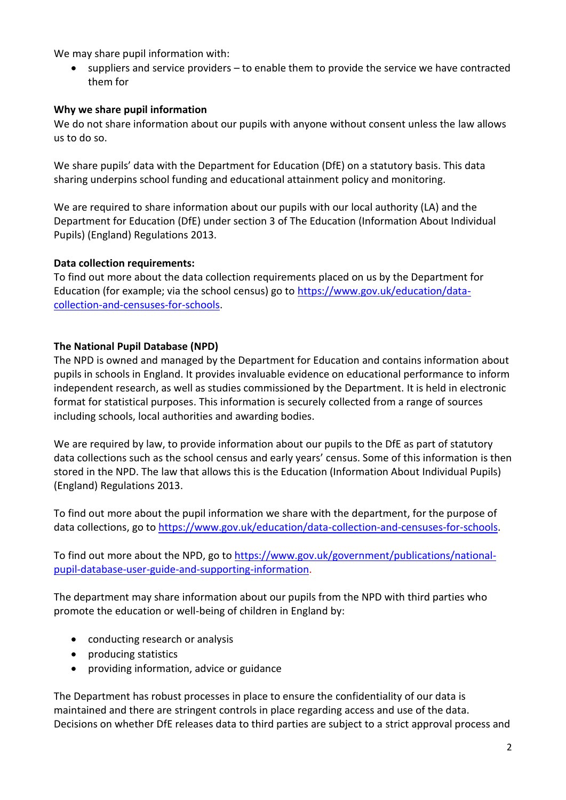We may share pupil information with:

 suppliers and service providers – to enable them to provide the service we have contracted them for

## **Why we share pupil information**

We do not share information about our pupils with anyone without consent unless the law allows us to do so.

We share pupils' data with the Department for Education (DfE) on a statutory basis. This data sharing underpins school funding and educational attainment policy and monitoring.

We are required to share information about our pupils with our local authority (LA) and the Department for Education (DfE) under section 3 of The Education (Information About Individual Pupils) (England) Regulations 2013.

### **Data collection requirements:**

To find out more about the data collection requirements placed on us by the Department for Education (for example; via the school census) go to [https://www.gov.uk/education/data](https://www.gov.uk/education/data-collection-and-censuses-for-schools)[collection-and-censuses-for-schools.](https://www.gov.uk/education/data-collection-and-censuses-for-schools)

## **The National Pupil Database (NPD)**

The NPD is owned and managed by the Department for Education and contains information about pupils in schools in England. It provides invaluable evidence on educational performance to inform independent research, as well as studies commissioned by the Department. It is held in electronic format for statistical purposes. This information is securely collected from a range of sources including schools, local authorities and awarding bodies.

We are required by law, to provide information about our pupils to the DfE as part of statutory data collections such as the school census and early years' census. Some of this information is then stored in the NPD. The law that allows this is the Education (Information About Individual Pupils) (England) Regulations 2013.

To find out more about the pupil information we share with the department, for the purpose of data collections, go to [https://www.gov.uk/education/data-collection-and-censuses-for-schools.](https://www.gov.uk/education/data-collection-and-censuses-for-schools)

To find out more about the NPD, go t[o https://www.gov.uk/government/publications/national](https://www.gov.uk/government/publications/national-pupil-database-user-guide-and-supporting-information)[pupil-database-user-guide-and-supporting-information.](https://www.gov.uk/government/publications/national-pupil-database-user-guide-and-supporting-information)

The department may share information about our pupils from the NPD with third parties who promote the education or well-being of children in England by:

- conducting research or analysis
- producing statistics
- providing information, advice or guidance

The Department has robust processes in place to ensure the confidentiality of our data is maintained and there are stringent controls in place regarding access and use of the data. Decisions on whether DfE releases data to third parties are subject to a strict approval process and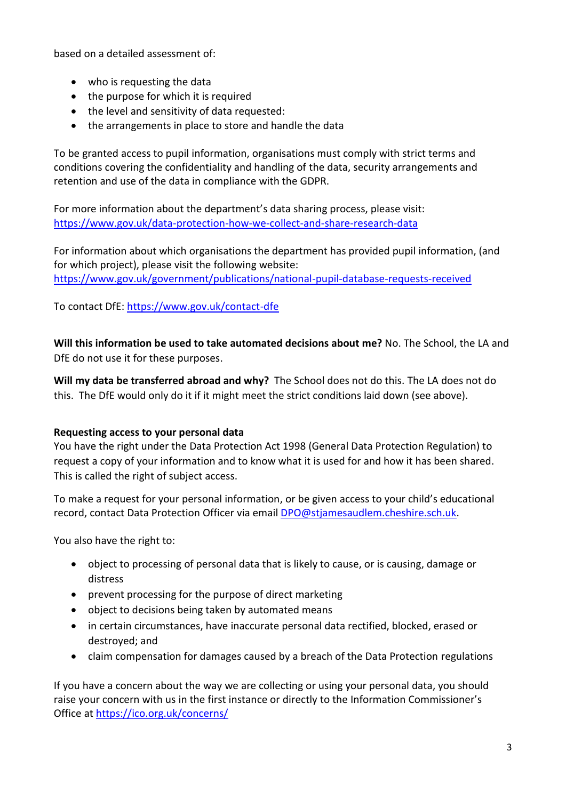based on a detailed assessment of:

- who is requesting the data
- the purpose for which it is required
- the level and sensitivity of data requested:
- the arrangements in place to store and handle the data

To be granted access to pupil information, organisations must comply with strict terms and conditions covering the confidentiality and handling of the data, security arrangements and retention and use of the data in compliance with the GDPR.

For more information about the department's data sharing process, please visit: <https://www.gov.uk/data-protection-how-we-collect-and-share-research-data>

For information about which organisations the department has provided pupil information, (and for which project), please visit the following website: <https://www.gov.uk/government/publications/national-pupil-database-requests-received>

To contact DfE:<https://www.gov.uk/contact-dfe>

**Will this information be used to take automated decisions about me?** No. The School, the LA and DfE do not use it for these purposes.

**Will my data be transferred abroad and why?** The School does not do this. The LA does not do this. The DfE would only do it if it might meet the strict conditions laid down (see above).

### **Requesting access to your personal data**

You have the right under the Data Protection Act 1998 (General Data Protection Regulation) to request a copy of your information and to know what it is used for and how it has been shared. This is called the right of subject access.

To make a request for your personal information, or be given access to your child's educational record, contact Data Protection Officer via email **DPO@stjamesaudlem.cheshire.sch.uk.** 

You also have the right to:

- object to processing of personal data that is likely to cause, or is causing, damage or distress
- prevent processing for the purpose of direct marketing
- object to decisions being taken by automated means
- in certain circumstances, have inaccurate personal data rectified, blocked, erased or destroyed; and
- claim compensation for damages caused by a breach of the Data Protection regulations

If you have a concern about the way we are collecting or using your personal data, you should raise your concern with us in the first instance or directly to the Information Commissioner's Office at <https://ico.org.uk/concerns/>